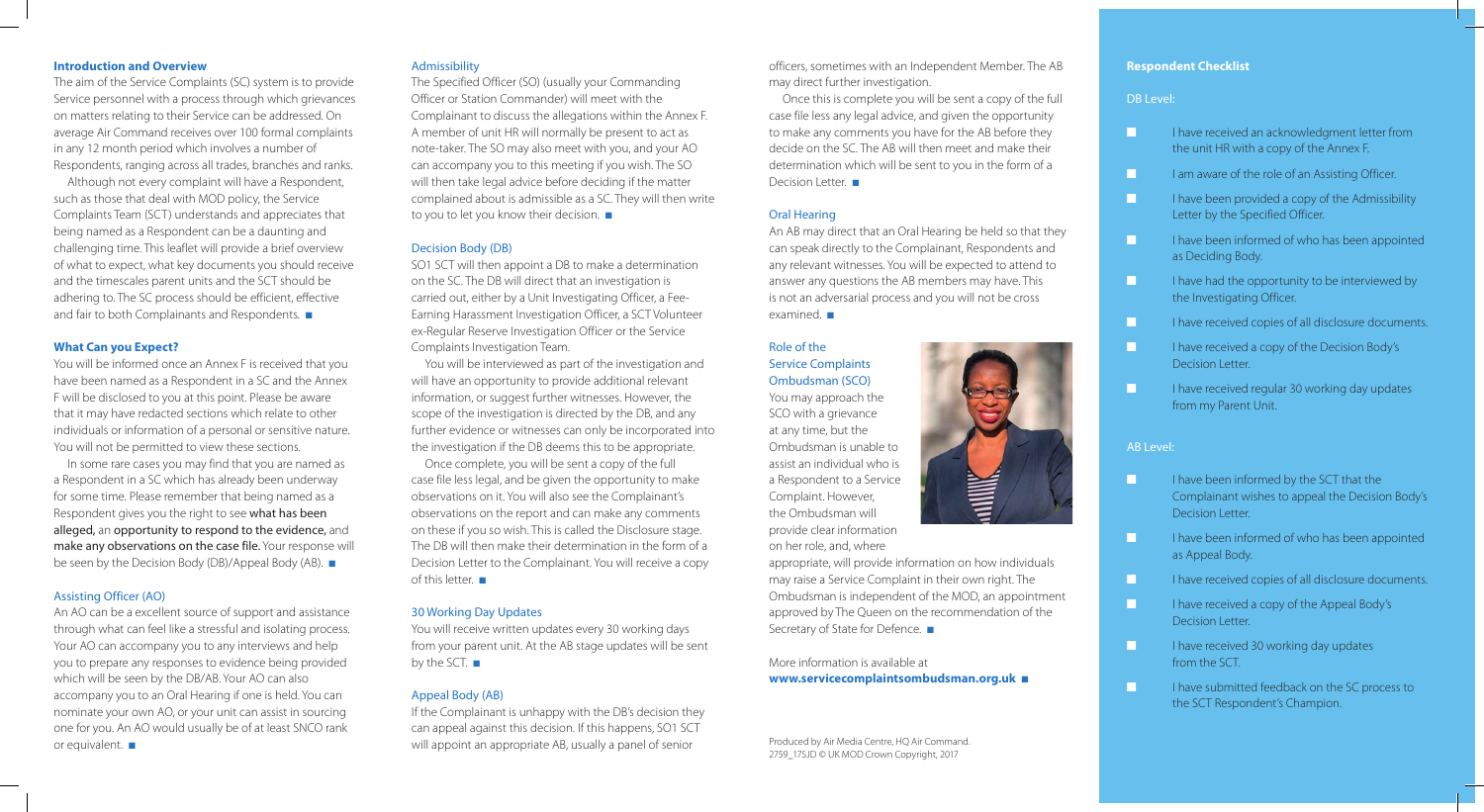# **Introduction and Overview**

Although not every complaint will have a Respondent, such as those that deal with MOD policy, the Service Complaints Team (SCT) understands and appreciates that being named as a Respondent can be a daunting and challenging time. This leaflet will provide a brief overview of what to expect, what key documents you should receive and the timescales parent units and the SCT should be adhering to. The SC process should be efficient, effective and fair to both Complainants and Respondents.  $\blacksquare$ 

The aim of the Service Complaints (SC) system is to provide Service personnel with a process through which grievances on matters relating to their Service can be addressed. On average Air Command receives over 100 formal complaints in any 12 month period which involves a number of Respondents, ranging across all trades, branches and ranks.

In some rare cases you may find that you are named as a Respondent in a SC which has already been underway for some time. Please remember that being named as a Respondent gives you the right to see what has been alleged, an opportunity to respond to the evidence, and make any observations on the case file. Your response will be seen by the Decision Body (DB)/Appeal Body (AB).  $\blacksquare$ 

An AO can be a excellent source of support and assistance through what can feel like a stressful and isolating process. Your AO can accompany you to any interviews and help you to prepare any responses to evidence being provided which will be seen by the DB/AB. Your AO can also accompany you to an Oral Hearing if one is held. You can nominate your own AO, or your unit can assist in sourcing one for you. An AO would usually be of at least SNCO rank or equivalent.  $\blacksquare$ 

# **What Can you Expect?**

You will be informed once an Annex F is received that you have been named as a Respondent in a SC and the Annex F will be disclosed to you at this point. Please be aware that it may have redacted sections which relate to other individuals or information of a personal or sensitive nature. You will not be permitted to view these sections.

The Specified Officer (SO) (usually your Commanding Officer or Station Commander) will meet with the Complainant to discuss the allegations within the Annex F. A member of unit HR will normally be present to act as note-taker. The SO may also meet with you, and your AO can accompany you to this meeting if you wish. The SO will then take legal advice before deciding if the matter complained about is admissible as a SC. They will then write to you to let you know their decision.  $\blacksquare$ 

#### Assisting Officer (AO)

Once complete, you will be sent a copy of the full case file less legal, and be given the opportunity to make observations on it. You will also see the Complainant's observations on the report and can make any comments on these if you so wish. This is called the Disclosure stage. The DB will then make their determination in the form of a Decision Letter to the Complainant. You will receive a copy of this letter.  $\blacksquare$ 

You will receive written updates every 30 working days from your parent unit. At the AB stage updates will be sent by the SCT.  $\blacksquare$ 

Once this is complete you will be sent a copy of the full case file less any legal advice, and given the opportunity to make any comments you have for the AB before they decide on the SC. The AB will then meet and make their determination which will be sent to you in the form of a Decision Letter.  $\blacksquare$ 

# Admissibility

An AB may direct that an Oral Hearing be held so that they can speak directly to the Complainant, Respondents and any relevant witnesses. You will be expected to attend to answer any questions the AB members may have. This is not an adversarial process and you will not be cross examined.  $\blacksquare$ 

appropriate, will provide information on how individuals may raise a Service Complaint in their own right. The Ombudsman is independent of the MOD, an appointment approved by The Queen on the recommendation of the Secretary of State for Defence. ■

# Decision Body (DB)

**n** I have received an acknowledgment letter from the unit HR with a copy of the Annex F.

**n** I am aware of the role of an Assisting Officer.

SO1 SCT will then appoint a DB to make a determination on the SC. The DB will direct that an investigation is carried out, either by a Unit Investigating Officer, a Fee-Earning Harassment Investigation Officer, a SCT Volunteer ex-Regular Reserve Investigation Officer or the Service Complaints Investigation Team.

**n** I have been provided a copy of the Admissibility Letter by the Specified Officer.

 $\blacksquare$  I have been informed of who has been appointed as Deciding Body.

**n** I have had the opportunity to be interviewed by the Investigating Officer.

**n** I have received copies of all disclosure documents.

**n** I have received a copy of the Decision Body's Decision Letter.

 $\blacksquare$  I have received regular 30 working day updates from my Parent Unit.

**n** I have been informed of who has been appointed as Appeal Body.

**n** I have received copies of all disclosure documents.

You will be interviewed as part of the investigation and will have an opportunity to provide additional relevant information, or suggest further witnesses. However, the scope of the investigation is directed by the DB, and any further evidence or witnesses can only be incorporated into the investigation if the DB deems this to be appropriate.

> **n** I have received a copy of the Appeal Body's Decision Letter.

**n** I have received 30 working day updates from the SCT.

**n** I have submitted feedback on the SC process to the SCT Respondent's Champion.

# 30 Working Day Updates

#### Appeal Body (AB)

If the Complainant is unhappy with the DB's decision they can appeal against this decision. If this happens, SO1 SCT will appoint an appropriate AB, usually a panel of senior

officers, sometimes with an Independent Member. The AB may direct further investigation.

# Oral Hearing

# Role of the Service Complaints Ombudsman (SCO)

You may approach the SCO with a grievance at any time, but the Ombudsman is unable to assist an individual who is a Respondent to a Service Complaint. However, the Ombudsman will provide clear information on her role, and, where



More information is available at **www.servicecomplaintsombudsman.org.uk** <sup>n</sup>

# **Respondent Checklist**

# DB Level:

#### AB Level:

**n** I have been informed by the SCT that the Complainant wishes to appeal the Decision Body's Decision Letter.

Produced by Air Media Centre, HQ Air Command. 2759\_17SJD © UK MOD Crown Copyright, 2017